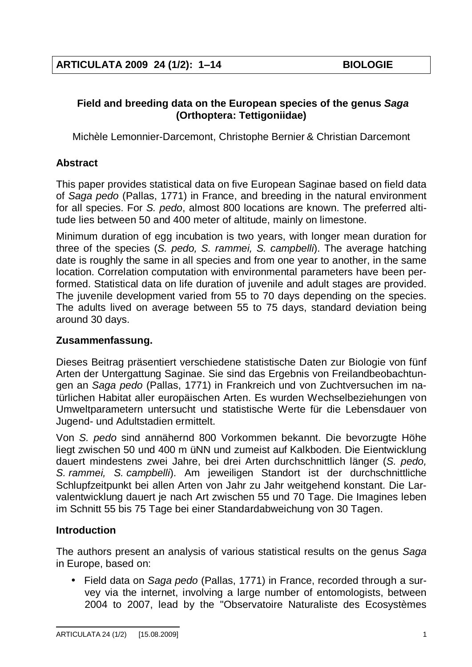## **Field and breeding data on the European species of the genus** *Saga* **(Orthoptera: Tettigoniidae)**

Michèle Lemonnier-Darcemont, Christophe Bernier & Christian Darcemont

# **Abstract**

This paper provides statistical data on five European Saginae based on field data of *Saga pedo* (Pallas, 1771) in France, and breeding in the natural environment for all species. For *S. pedo*, almost 800 locations are known. The preferred altitude lies between 50 and 400 meter of altitude, mainly on limestone.

Minimum duration of egg incubation is two years, with longer mean duration for three of the species (*S. pedo, S. rammei, S. campbelli*). The average hatching date is roughly the same in all species and from one year to another, in the same location. Correlation computation with environmental parameters have been performed. Statistical data on life duration of juvenile and adult stages are provided. The juvenile development varied from 55 to 70 days depending on the species. The adults lived on average between 55 to 75 days, standard deviation being around 30 days.

# **Zusammenfassung.**

Dieses Beitrag präsentiert verschiedene statistische Daten zur Biologie von fünf Arten der Untergattung Saginae. Sie sind das Ergebnis von Freilandbeobachtungen an *Saga pedo* (Pallas, 1771) in Frankreich und von Zuchtversuchen im natürlichen Habitat aller europäischen Arten. Es wurden Wechselbeziehungen von Umweltparametern untersucht und statistische Werte für die Lebensdauer von Jugend- und Adultstadien ermittelt.

Von *S. pedo* sind annähernd 800 Vorkommen bekannt. Die bevorzugte Höhe liegt zwischen 50 und 400 m üNN und zumeist auf Kalkboden. Die Eientwicklung dauert mindestens zwei Jahre, bei drei Arten durchschnittlich länger (*S. pedo, S. rammei, S. campbelli*). Am jeweiligen Standort ist der durchschnittliche Schlupfzeitpunkt bei allen Arten von Jahr zu Jahr weitgehend konstant. Die Larvalentwicklung dauert je nach Art zwischen 55 und 70 Tage. Die Imagines leben im Schnitt 55 bis 75 Tage bei einer Standardabweichung von 30 Tagen.

# **Introduction**

The authors present an analysis of various statistical results on the genus *Saga* in Europe, based on:

• Field data on *Saga pedo* (Pallas, 1771) in France, recorded through a survey via the internet, involving a large number of entomologists, between 2004 to 2007, lead by the "Observatoire Naturaliste des Ecosystèmes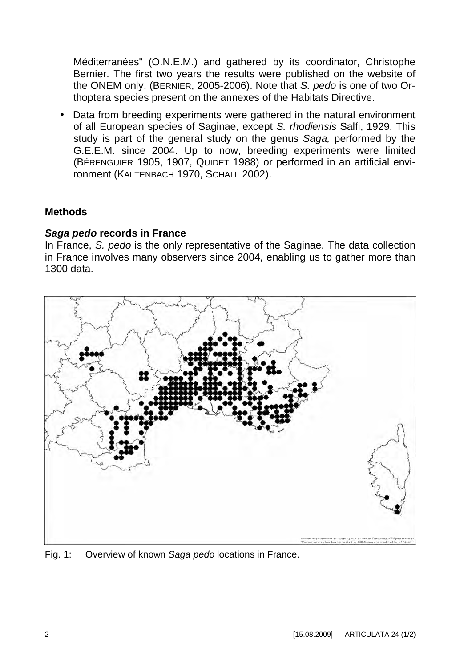Méditerranées" (O.N.E.M.) and gathered by its coordinator, Christophe Bernier. The first two years the results were published on the website of the ONEM only. (BERNIER, 2005-2006). Note that *S. pedo* is one of two Orthoptera species present on the annexes of the Habitats Directive.

• Data from breeding experiments were gathered in the natural environment of all European species of Saginae, except *S. rhodiensis* Salfi, 1929. This study is part of the general study on the genus *Saga,* performed by the G.E.E.M. since 2004. Up to now, breeding experiments were limited (BÉRENGUIER 1905, 1907, QUIDET 1988) or performed in an artificial environment (KALTENBACH 1970, SCHALL 2002).

## **Methods**

#### *Saga pedo* **records in France**

In France, *S. pedo* is the only representative of the Saginae. The data collection in France involves many observers since 2004, enabling us to gather more than 1300 data.



Fig. 1: Overview of known *Saga pedo* locations in France.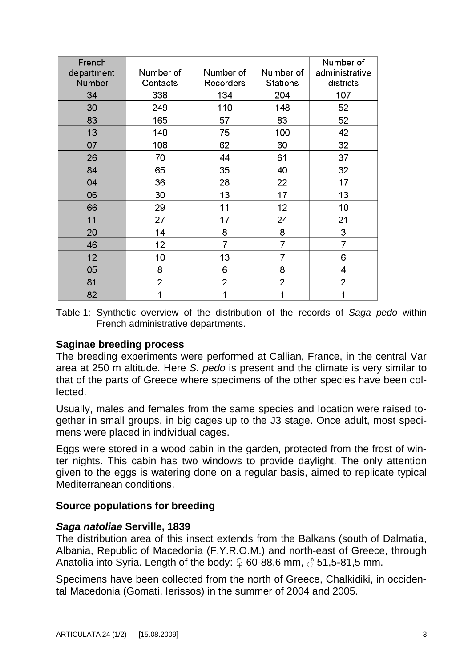| French<br>department<br>Number | Number of<br>Contacts | Number of<br><b>Recorders</b> | Number of<br>Stations | Number of<br>administrative<br>districts |
|--------------------------------|-----------------------|-------------------------------|-----------------------|------------------------------------------|
| 34                             | 338                   | 134                           | 204                   | 107                                      |
| 30                             | 249                   | 110                           | 148                   | 52                                       |
| 83                             | 165                   | 57                            | 83                    | 52                                       |
| 13                             | 140                   | 75                            | 100                   | 42                                       |
| 07                             | 108                   | 62                            | 60                    | 32                                       |
| 26                             | 70                    | 44                            | 61                    | 37                                       |
| 84                             | 65                    | 35                            | 40                    | 32                                       |
| 04                             | 36                    | 28                            | 22                    | 17                                       |
| 06                             | 30                    | 13                            | 17                    | 13                                       |
| 66                             | 29                    | 11                            | 12                    | 10                                       |
| 11                             | 27                    | 17                            | 24                    | 21                                       |
| 20                             | 14                    | 8                             | 8                     | 3                                        |
| 46                             | 12                    | $\overline{7}$                | $\overline{7}$        | $\overline{7}$                           |
| 12                             | 10                    | 13                            | 7                     | 6                                        |
| 05                             | 8                     | 6                             | 8                     | 4                                        |
| 81                             | 2                     | $\overline{2}$                | $\overline{2}$        | 2                                        |
| 82                             | 1                     | 1                             | 1                     | 1                                        |

Table 1: Synthetic overview of the distribution of the records of *Saga pedo* within French administrative departments.

#### **Saginae breeding process**

The breeding experiments were performed at Callian, France, in the central Var area at 250 m altitude. Here *S. pedo* is present and the climate is very similar to that of the parts of Greece where specimens of the other species have been collected.

Usually, males and females from the same species and location were raised together in small groups, in big cages up to the J3 stage. Once adult, most specimens were placed in individual cages.

Eggs were stored in a wood cabin in the garden, protected from the frost of winter nights. This cabin has two windows to provide daylight. The only attention given to the eggs is watering done on a regular basis, aimed to replicate typical Mediterranean conditions.

## **Source populations for breeding**

#### *Saga natoliae* **Serville, 1839**

The distribution area of this insect extends from the Balkans (south of Dalmatia, Albania, Republic of Macedonia (F.Y.R.O.M.) and north-east of Greece, through Anatolia into Syria. Length of the body:  $\Omega$  60-88,6 mm,  $\delta$  51,5-81,5 mm.

Specimens have been collected from the north of Greece, Chalkidiki, in occidental Macedonia (Gomati, Ierissos) in the summer of 2004 and 2005.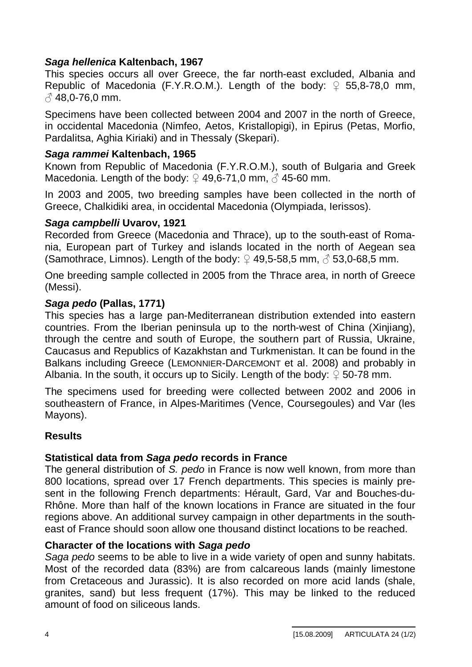## *Saga hellenica* **Kaltenbach, 1967**

This species occurs all over Greece, the far north-east excluded, Albania and Republic of Macedonia (F.Y.R.O.M.). Length of the body:  $\mathcal{Q}$  55,8-78,0 mm,  $\beta$  48,0-76,0 mm.

Specimens have been collected between 2004 and 2007 in the north of Greece, in occidental Macedonia (Nimfeo, Aetos, Kristallopigi), in Epirus (Petas, Morfio, Pardalitsa, Aghia Kiriaki) and in Thessaly (Skepari).

#### *Saga rammei* **Kaltenbach, 1965**

Known from Republic of Macedonia (F.Y.R.O.M.), south of Bulgaria and Greek Macedonia. Length of the body:  $\Omega$  49,6-71,0 mm,  $\Lambda$  45-60 mm.

In 2003 and 2005, two breeding samples have been collected in the north of Greece, Chalkidiki area, in occidental Macedonia (Olympiada, Ierissos).

#### *Saga campbelli* **Uvarov, 1921**

Recorded from Greece (Macedonia and Thrace), up to the south-east of Romania, European part of Turkey and islands located in the north of Aegean sea (Samothrace, Limnos). Length of the body:  $\Omega$  49,5-58,5 mm,  $\Lambda$  53,0-68,5 mm.

One breeding sample collected in 2005 from the Thrace area, in north of Greece (Messi).

#### *Saga pedo* **(Pallas, 1771)**

This species has a large pan-Mediterranean distribution extended into eastern countries. From the Iberian peninsula up to the north-west of China (Xinjiang), through the centre and south of Europe, the southern part of Russia, Ukraine, Caucasus and Republics of Kazakhstan and Turkmenistan. It can be found in the Balkans including Greece (LEMONNIER-DARCEMONT et al. 2008) and probably in Albania. In the south, it occurs up to Sicily. Length of the body:  $\circ$  50-78 mm.

The specimens used for breeding were collected between 2002 and 2006 in southeastern of France, in Alpes-Maritimes (Vence, Coursegoules) and Var (les Mayons).

## **Results**

## **Statistical data from** *Saga pedo* **records in France**

The general distribution of *S. pedo* in France is now well known, from more than 800 locations, spread over 17 French departments. This species is mainly present in the following French departments: Hérault, Gard, Var and Bouches-du-Rhône. More than half of the known locations in France are situated in the four regions above. An additional survey campaign in other departments in the southeast of France should soon allow one thousand distinct locations to be reached.

#### **Character of the locations with** *Saga pedo*

*Saga pedo* seems to be able to live in a wide variety of open and sunny habitats. Most of the recorded data (83%) are from calcareous lands (mainly limestone from Cretaceous and Jurassic). It is also recorded on more acid lands (shale, granites, sand) but less frequent (17%). This may be linked to the reduced amount of food on siliceous lands.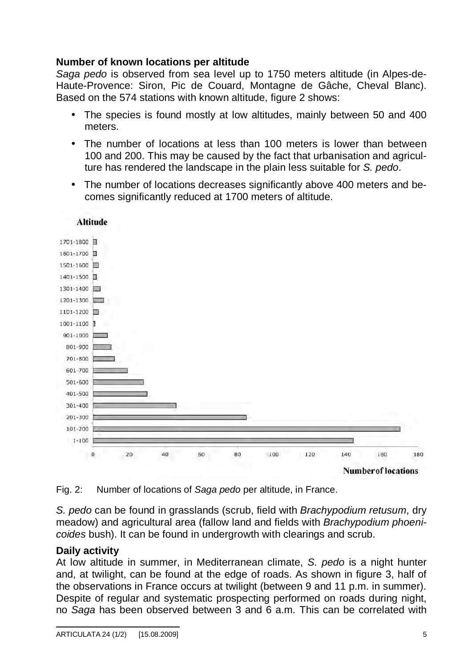## **Number of known locations per altitude**

*Saga pedo* is observed from sea level up to 1750 meters altitude (in Alpes-de-Haute-Provence: Siron, Pic de Couard, Montagne de Gâche, Cheval Blanc). Based on the 574 stations with known altitude, figure 2 shows:

- The species is found mostly at low altitudes, mainly between 50 and 400 meters.
- The number of locations at less than 100 meters is lower than between 100 and 200. This may be caused by the fact that urbanisation and agriculture has rendered the landscape in the plain less suitable for *S. pedo*.
- The number of locations decreases significantly above 400 meters and becomes significantly reduced at 1700 meters of altitude.



Fig. 2: Number of locations of *Saga pedo* per altitude, in France.

*S. pedo* can be found in grasslands (scrub, field with *Brachypodium retusum*, dry meadow) and agricultural area (fallow land and fields with *Brachypodium phoenicoides* bush). It can be found in undergrowth with clearings and scrub.

## **Daily activity**

At low altitude in summer, in Mediterranean climate, *S. pedo* is a night hunter and, at twilight, can be found at the edge of roads. As shown in figure 3, half of the observations in France occurs at twilight (between 9 and 11 p.m. in summer). Despite of regular and systematic prospecting performed on roads during night, no *Saga* has been observed between 3 and 6 a.m. This can be correlated with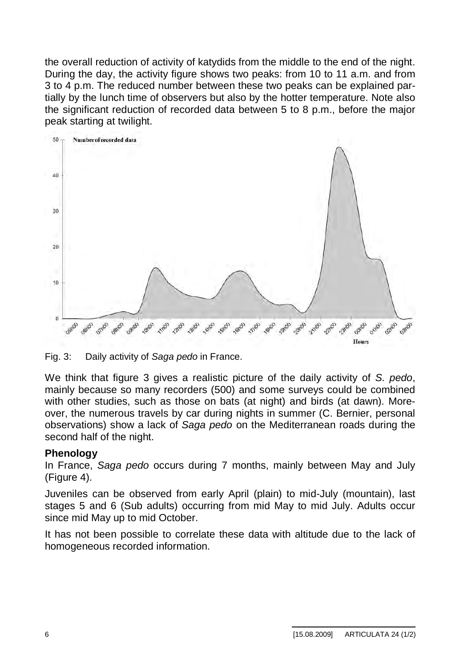the overall reduction of activity of katydids from the middle to the end of the night. During the day, the activity figure shows two peaks: from 10 to 11 a.m. and from 3 to 4 p.m. The reduced number between these two peaks can be explained partially by the lunch time of observers but also by the hotter temperature. Note also the significant reduction of recorded data between 5 to 8 p.m., before the major peak starting at twilight.



Fig. 3: Daily activity of *Saga pedo* in France.

We think that figure 3 gives a realistic picture of the daily activity of *S. pedo*, mainly because so many recorders (500) and some surveys could be combined with other studies, such as those on bats (at night) and birds (at dawn). Moreover, the numerous travels by car during nights in summer (C. Bernier, personal observations) show a lack of *Saga pedo* on the Mediterranean roads during the second half of the night.

## **Phenology**

In France, *Saga pedo* occurs during 7 months, mainly between May and July (Figure 4).

Juveniles can be observed from early April (plain) to mid-July (mountain), last stages 5 and 6 (Sub adults) occurring from mid May to mid July. Adults occur since mid May up to mid October.

It has not been possible to correlate these data with altitude due to the lack of homogeneous recorded information.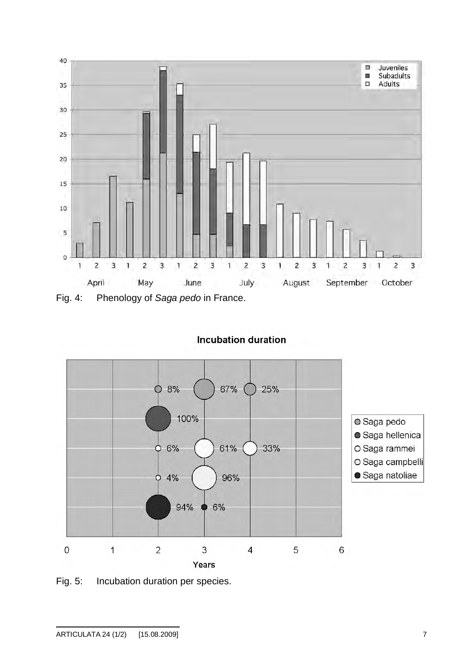

**Incubation duration** 



Fig. 5: Incubation duration per species.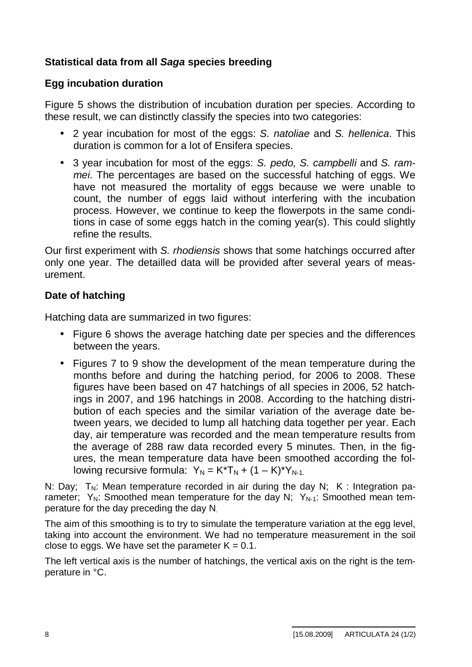# **Statistical data from all** *Saga* **species breeding**

## **Egg incubation duration**

Figure 5 shows the distribution of incubation duration per species. According to these result, we can distinctly classify the species into two categories:

- 2 year incubation for most of the eggs: *S. natoliae* and *S. hellenica*. This duration is common for a lot of Ensifera species.
- 3 year incubation for most of the eggs: *S. pedo, S. campbelli* and *S. rammei*. The percentages are based on the successful hatching of eggs. We have not measured the mortality of eggs because we were unable to count, the number of eggs laid without interfering with the incubation process. However, we continue to keep the flowerpots in the same conditions in case of some eggs hatch in the coming year(s). This could slightly refine the results.

Our first experiment with *S. rhodiensis* shows that some hatchings occurred after only one year. The detailled data will be provided after several years of measurement.

# **Date of hatching**

Hatching data are summarized in two figures:

- Figure 6 shows the average hatching date per species and the differences between the years.
- Figures 7 to 9 show the development of the mean temperature during the months before and during the hatching period, for 2006 to 2008. These figures have been based on 47 hatchings of all species in 2006, 52 hatchings in 2007, and 196 hatchings in 2008. According to the hatching distribution of each species and the similar variation of the average date between years, we decided to lump all hatching data together per year. Each day, air temperature was recorded and the mean temperature results from the average of 288 raw data recorded every 5 minutes. Then, in the figures, the mean temperature data have been smoothed according the following recursive formula:  $Y_N = K^*T_N + (1 - K)^*Y_{N-1}$ .

N: Day:  $T_N$ : Mean temperature recorded in air during the day N: K : Integration parameter;  $Y_N$ : Smoothed mean temperature for the day N;  $Y_{N-1}$ : Smoothed mean temperature for the day preceding the day N.

The aim of this smoothing is to try to simulate the temperature variation at the egg level, taking into account the environment. We had no temperature measurement in the soil close to eggs. We have set the parameter  $K = 0.1$ .

The left vertical axis is the number of hatchings, the vertical axis on the right is the temperature in °C.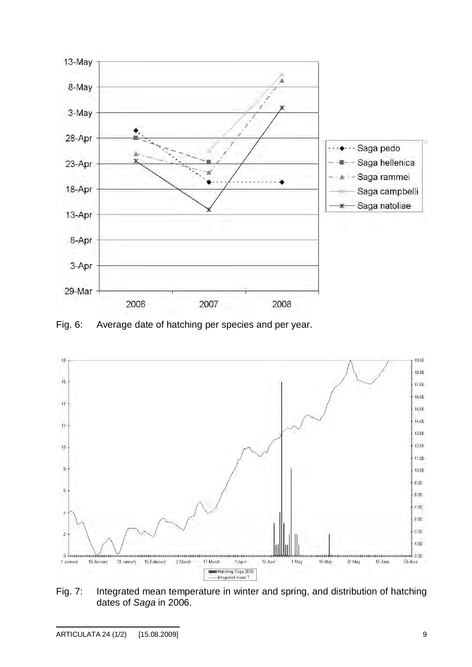

Fig. 6: Average date of hatching per species and per year.



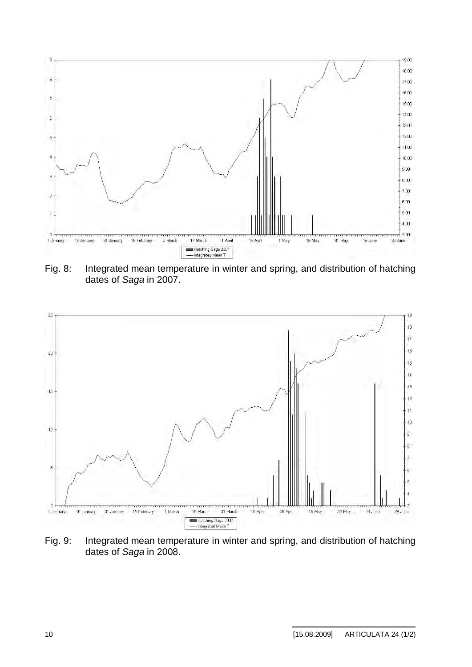

Fig. 8: Integrated mean temperature in winter and spring, and distribution of hatching dates of *Saga* in 2007.



Fig. 9: Integrated mean temperature in winter and spring, and distribution of hatching dates of *Saga* in 2008.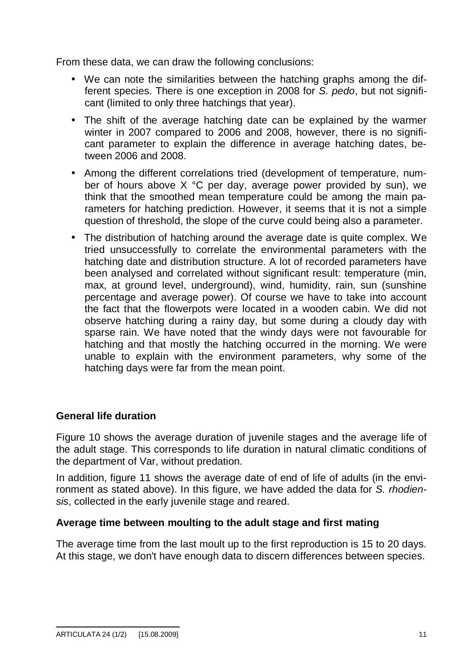From these data, we can draw the following conclusions:

- We can note the similarities between the hatching graphs among the different species. There is one exception in 2008 for *S. pedo*, but not significant (limited to only three hatchings that year).
- The shift of the average hatching date can be explained by the warmer winter in 2007 compared to 2006 and 2008, however, there is no significant parameter to explain the difference in average hatching dates, between 2006 and 2008.
- Among the different correlations tried (development of temperature, number of hours above  $X \,^{\circ}C$  per day, average power provided by sun), we think that the smoothed mean temperature could be among the main parameters for hatching prediction. However, it seems that it is not a simple question of threshold, the slope of the curve could being also a parameter.
- The distribution of hatching around the average date is quite complex. We tried unsuccessfully to correlate the environmental parameters with the hatching date and distribution structure. A lot of recorded parameters have been analysed and correlated without significant result: temperature (min, max, at ground level, underground), wind, humidity, rain, sun (sunshine percentage and average power). Of course we have to take into account the fact that the flowerpots were located in a wooden cabin. We did not observe hatching during a rainy day, but some during a cloudy day with sparse rain. We have noted that the windy days were not favourable for hatching and that mostly the hatching occurred in the morning. We were unable to explain with the environment parameters, why some of the hatching days were far from the mean point.

## **General life duration**

Figure 10 shows the average duration of juvenile stages and the average life of the adult stage. This corresponds to life duration in natural climatic conditions of the department of Var, without predation.

In addition, figure 11 shows the average date of end of life of adults (in the environment as stated above). In this figure, we have added the data for *S. rhodiensis*, collected in the early juvenile stage and reared.

## **Average time between moulting to the adult stage and first mating**

The average time from the last moult up to the first reproduction is 15 to 20 days. At this stage, we don't have enough data to discern differences between species.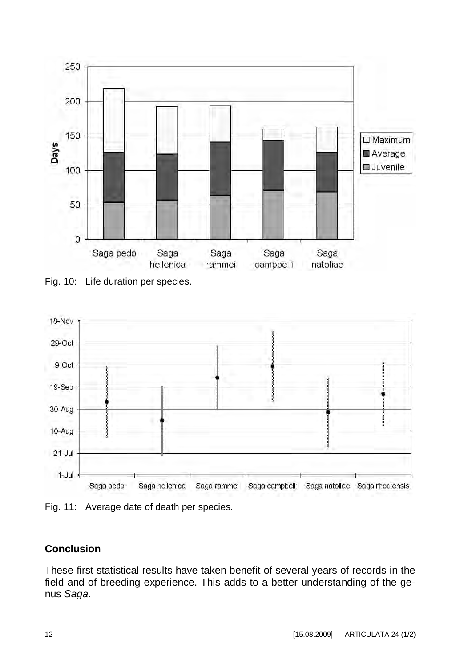

Fig. 10: Life duration per species.



Fig. 11: Average date of death per species.

# **Conclusion**

These first statistical results have taken benefit of several years of records in the field and of breeding experience. This adds to a better understanding of the genus *Saga*.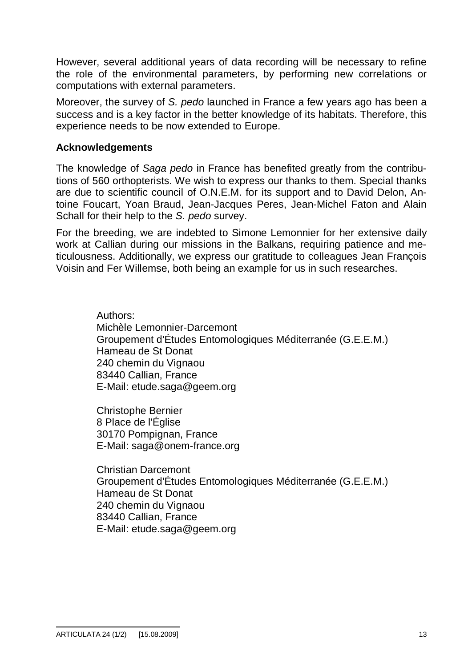However, several additional years of data recording will be necessary to refine the role of the environmental parameters, by performing new correlations or computations with external parameters.

Moreover, the survey of *S. pedo* launched in France a few years ago has been a success and is a key factor in the better knowledge of its habitats. Therefore, this experience needs to be now extended to Europe.

#### **Acknowledgements**

The knowledge of *Saga pedo* in France has benefited greatly from the contributions of 560 orthopterists. We wish to express our thanks to them. Special thanks are due to scientific council of O.N.E.M. for its support and to David Delon, Antoine Foucart, Yoan Braud, Jean-Jacques Peres, Jean-Michel Faton and Alain Schall for their help to the *S. pedo* survey.

For the breeding, we are indebted to Simone Lemonnier for her extensive daily work at Callian during our missions in the Balkans, requiring patience and meticulousness. Additionally, we express our gratitude to colleagues Jean François Voisin and Fer Willemse, both being an example for us in such researches.

> Authors: Michèle Lemonnier-Darcemont Groupement d'Études Entomologiques Méditerranée (G.E.E.M.) Hameau de St Donat 240 chemin du Vignaou 83440 Callian, France E-Mail: [etude.saga@geem.org](mailto:etude.saga@geem.org)

Christophe Bernier 8 Place de l'Église 30170 Pompignan, France E-Mail: [saga@onem-france.org](mailto:saga@onem-france.org)

Christian Darcemont Groupement d'Études Entomologiques Méditerranée (G.E.E.M.) Hameau de St Donat 240 chemin du Vignaou 83440 Callian, France E-Mail: [etude.saga@geem.org](mailto:etude.saga@geem.org)